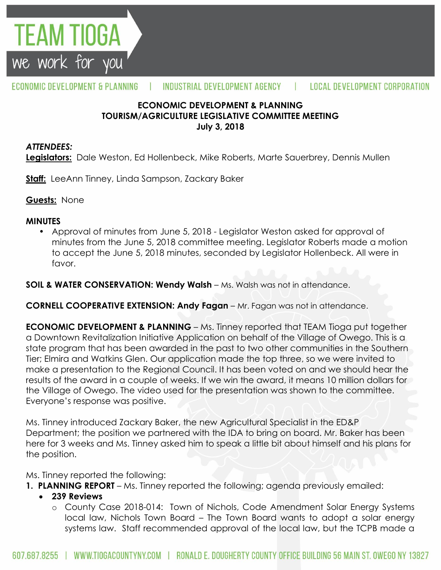

#### ECONOMIC DEVELOPMENT & PLANNING INDUSTRIAL DEVELOPMENT AGENCY Ш **LOCAL DEVELOPMENT CORPORATION**

#### **ECONOMIC DEVELOPMENT & PLANNING TOURISM/AGRICULTURE LEGISLATIVE COMMITTEE MEETING July 3, 2018**

#### *ATTENDEES:*

**Legislators:** Dale Weston, Ed Hollenbeck, Mike Roberts, Marte Sauerbrey, Dennis Mullen

**Staff:** LeeAnn Tinney, Linda Sampson, Zackary Baker

**Guests:** None

#### **MINUTES**

• Approval of minutes from June 5, 2018 - Legislator Weston asked for approval of minutes from the June 5, 2018 committee meeting. Legislator Roberts made a motion to accept the June 5, 2018 minutes, seconded by Legislator Hollenbeck. All were in favor.

**SOIL & WATER CONSERVATION: Wendy Walsh – Ms. Walsh was not in attendance.** 

**CORNELL COOPERATIVE EXTENSION: Andy Fagan** – Mr. Fagan was not in attendance.

**ECONOMIC DEVELOPMENT & PLANNING** – Ms. Tinney reported that TEAM Tioga put together a Downtown Revitalization Initiative Application on behalf of the Village of Owego. This is a state program that has been awarded in the past to two other communities in the Southern Tier; Elmira and Watkins Glen. Our application made the top three, so we were invited to make a presentation to the Regional Council. It has been voted on and we should hear the results of the award in a couple of weeks. If we win the award, it means 10 million dollars for the Village of Owego. The video used for the presentation was shown to the committee. Everyone's response was positive.

Ms. Tinney introduced Zackary Baker, the new Agricultural Specialist in the ED&P Department; the position we partnered with the IDA to bring on board. Mr. Baker has been here for 3 weeks and Ms. Tinney asked him to speak a little bit about himself and his plans for the position.

Ms. Tinney reported the following:

- **1. PLANNING REPORT** Ms. Tinney reported the following; agenda previously emailed:
	- **239 Reviews**
		- o County Case 2018-014: Town of Nichols, Code Amendment Solar Energy Systems local law, Nichols Town Board – The Town Board wants to adopt a solar energy systems law. Staff recommended approval of the local law, but the TCPB made a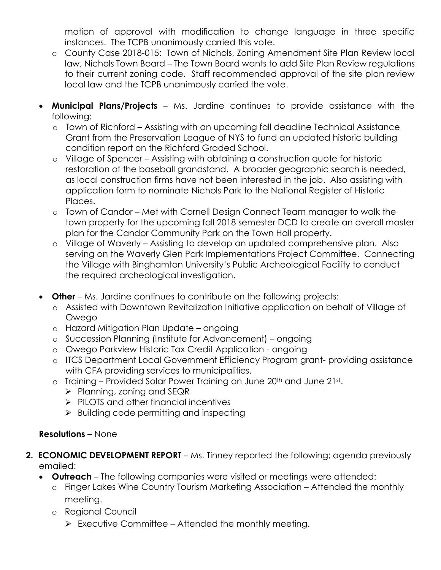motion of approval with modification to change language in three specific instances. The TCPB unanimously carried this vote.

- o County Case 2018-015: Town of Nichols, Zoning Amendment Site Plan Review local law, Nichols Town Board – The Town Board wants to add Site Plan Review regulations to their current zoning code. Staff recommended approval of the site plan review local law and the TCPB unanimously carried the vote.
- **Municipal Plans/Projects**  Ms. Jardine continues to provide assistance with the following:
	- o Town of Richford Assisting with an upcoming fall deadline Technical Assistance Grant from the Preservation League of NYS to fund an updated historic building condition report on the Richford Graded School.
	- o Village of Spencer Assisting with obtaining a construction quote for historic restoration of the baseball grandstand. A broader geographic search is needed, as local construction firms have not been interested in the job. Also assisting with application form to nominate Nichols Park to the National Register of Historic Places.
	- o Town of Candor Met with Cornell Design Connect Team manager to walk the town property for the upcoming fall 2018 semester DCD to create an overall master plan for the Candor Community Park on the Town Hall property.
	- o Village of Waverly Assisting to develop an updated comprehensive plan. Also serving on the Waverly Glen Park Implementations Project Committee. Connecting the Village with Binghamton University's Public Archeological Facility to conduct the required archeological investigation.
- **Other** Ms. Jardine continues to contribute on the following projects:
	- o Assisted with Downtown Revitalization Initiative application on behalf of Village of **Owego**
	- o Hazard Mitigation Plan Update ongoing
	- o Succession Planning (Institute for Advancement) ongoing
	- o Owego Parkview Historic Tax Credit Application ongoing
	- o ITCS Department Local Government Efficiency Program grant- providing assistance with CFA providing services to municipalities.
	- o Training Provided Solar Power Training on June 20th and June 21st.
		- $\triangleright$  Planning, zoning and SEQR
		- $\triangleright$  PILOTS and other financial incentives
		- $\triangleright$  Building code permitting and inspecting

## **Resolutions** – None

- **2. ECONOMIC DEVELOPMENT REPORT** Ms. Tinney reported the following; agenda previously emailed:
	- **Outreach**  The following companies were visited or meetings were attended:
		- o Finger Lakes Wine Country Tourism Marketing Association Attended the monthly meeting.
		- o Regional Council
			- $\triangleright$  Executive Committee Attended the monthly meeting.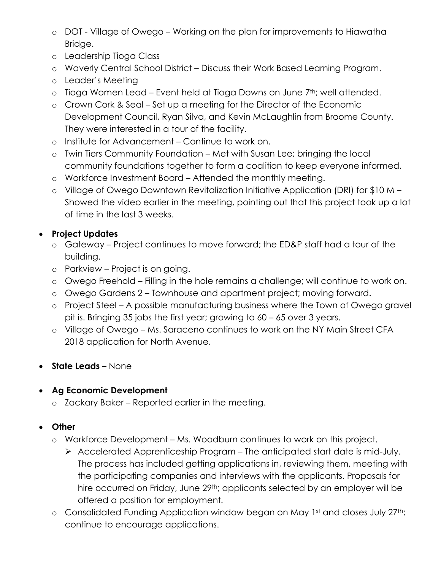- o DOT Village of Owego Working on the plan for improvements to Hiawatha Bridge.
- o Leadership Tioga Class
- o Waverly Central School District Discuss their Work Based Learning Program.
- o Leader's Meeting
- $\circ$  Tioga Women Lead Event held at Tioga Downs on June  $7<sup>th</sup>$ ; well attended.
- o Crown Cork & Seal Set up a meeting for the Director of the Economic Development Council, Ryan Silva, and Kevin McLaughlin from Broome County. They were interested in a tour of the facility.
- o Institute for Advancement Continue to work on.
- o Twin Tiers Community Foundation Met with Susan Lee; bringing the local community foundations together to form a coalition to keep everyone informed.
- o Workforce Investment Board Attended the monthly meeting.
- o Village of Owego Downtown Revitalization Initiative Application (DRI) for \$10 M Showed the video earlier in the meeting, pointing out that this project took up a lot of time in the last 3 weeks.

# **Project Updates**

- o Gateway Project continues to move forward; the ED&P staff had a tour of the building.
- o Parkview Project is on going.
- o Owego Freehold Filling in the hole remains a challenge; will continue to work on.
- o Owego Gardens 2 Townhouse and apartment project; moving forward.
- o Project Steel A possible manufacturing business where the Town of Owego gravel pit is. Bringing 35 jobs the first year; growing to 60 – 65 over 3 years.
- o Village of Owego Ms. Saraceno continues to work on the NY Main Street CFA 2018 application for North Avenue.
- **State Leads** None

## **Ag Economic Development**

o Zackary Baker – Reported earlier in the meeting.

## **Other**

- o Workforce Development Ms. Woodburn continues to work on this project.
	- $\triangleright$  Accelerated Apprenticeship Program The anticipated start date is mid-July. The process has included getting applications in, reviewing them, meeting with the participating companies and interviews with the applicants. Proposals for hire occurred on Friday, June 29<sup>th</sup>; applicants selected by an employer will be offered a position for employment.
- o Consolidated Funding Application window began on May 1st and closes July 27th; continue to encourage applications.